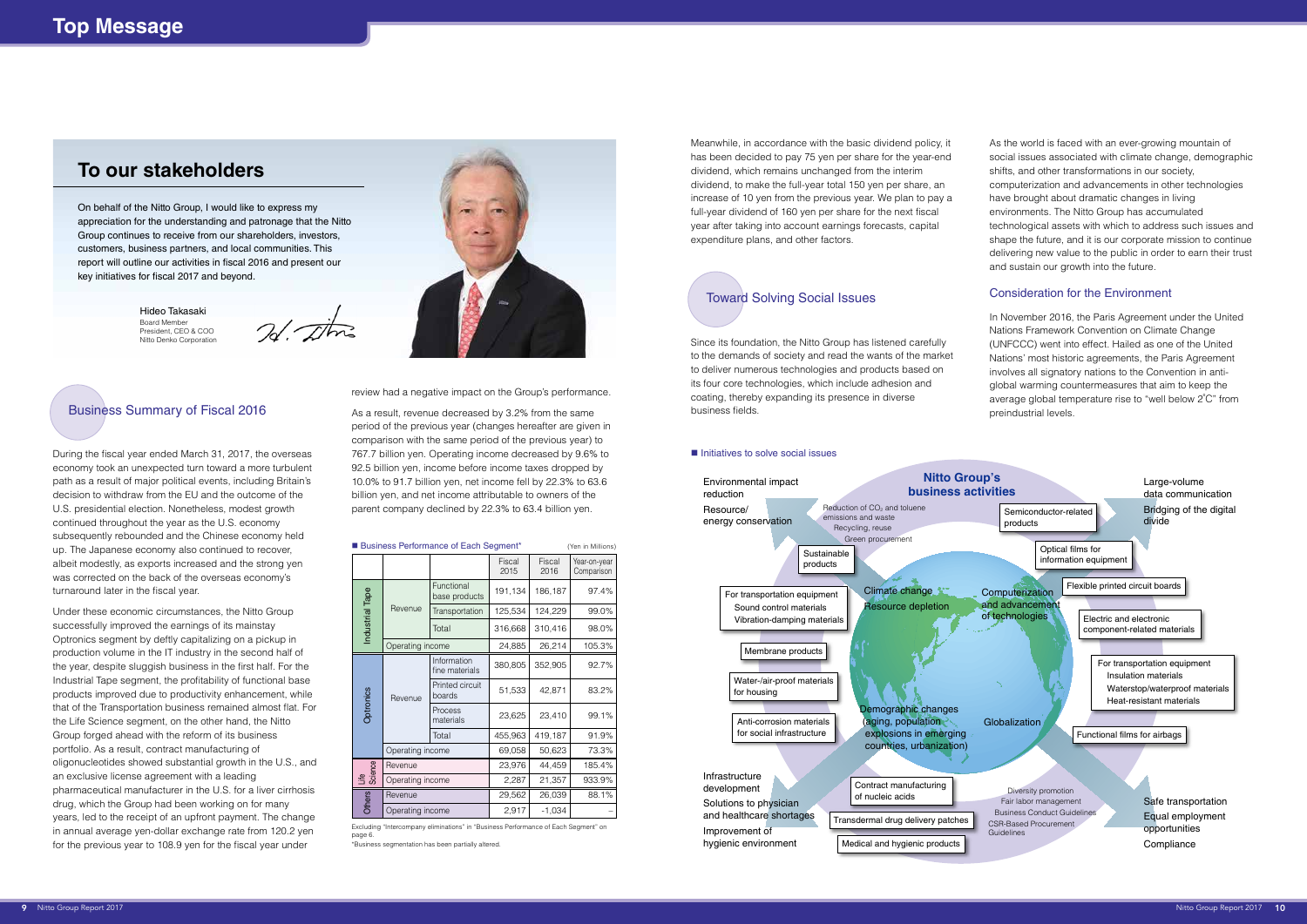Since its foundation, the Nitto Group has listened carefully to the demands of society and read the wants of the market to deliver numerous technologies and products based on its four core technologies, which include adhesion and coating, thereby expanding its presence in diverse business fields. Business Summary of Fiscal 2016 **As a result, revenue decreased by 3.2% from the same** business fields. **Example 1996** preindustrial levels.

### $\blacksquare$  Initiatives to solve social issues

Meanwhile, in accordance with the basic dividend policy, it has been decided to pay 75 yen per share for the year-end dividend, which remains unchanged from the interim dividend, to make the full-year total 150 yen per share, an increase of 10 yen from the previous year. We plan to pay a full-year dividend of 160 yen per share for the next fiscal year after taking into account earnings forecasts, capital expenditure plans, and other factors.

During the fiscal year ended March 31, 2017, the overseas economy took an unexpected turn toward a more turbulent path as a result of major political events, including Britain's decision to withdraw from the EU and the outcome of the U.S. presidential election. Nonetheless, modest growth continued throughout the year as the U.S. economy subsequently rebounded and the Chinese economy held up. The Japanese economy also continued to recover, albeit modestly, as exports increased and the strong yen was corrected on the back of the overseas economy's turnaround later in the fiscal year.

Under these economic circumstances, the Nitto Group successfully improved the earnings of its mainstay Optronics segment by deftly capitalizing on a pickup in production volume in the IT industry in the second half of the year, despite sluggish business in the first half. For the Industrial Tape segment, the profitability of functional base products improved due to productivity enhancement, while that of the Transportation business remained almost flat. For the Life Science segment, on the other hand, the Nitto Group forged ahead with the reform of its business portfolio. As a result, contract manufacturing of oligonucleotides showed substantial growth in the U.S., and an exclusive license agreement with a leading pharmaceutical manufacturer in the U.S. for a liver cirrhosis drug, which the Group had been working on for many years, led to the receipt of an upfront payment. The change in annual average yen-dollar exchange rate from 120.2 yen for the previous year to 108.9 yen for the fiscal year under

review had a negative impact on the Group's performance.

period of the previous year (changes hereafter are given in comparison with the same period of the previous year) to 767.7 billion yen. Operating income decreased by 9.6% to 92.5 billion yen, income before income taxes dropped by 10.0% to 91.7 billion yen, net income fell by 22.3% to 63.6 billion yen, and net income attributable to owners of the parent company declined by 22.3% to 63.4 billion yen.

Excluding "Intercompany eliminations" in "Business Performance of Each Segment" on page 6

As the world is faced with an ever-growing mountain of social issues associated with climate change, demographic shifts, and other transformations in our society, computerization and advancements in other technologies have brought about dramatic changes in living environments. The Nitto Group has accumulated technological assets with which to address such issues and shape the future, and it is our corporate mission to continue delivering new value to the public in order to earn their trust and sustain our growth into the future.

### Consideration for the Environment

In November 2016, the Paris Agreement under the United Nations Framework Convention on Climate Change (UNFCCC) went into effect. Hailed as one of the United Nations' most historic agreements, the Paris Agreement involves all signatory nations to the Convention in antiglobal warming countermeasures that aim to keep the average global temperature rise to "well below 2℃" from

### Toward Solving Social Issues



|                  |                  | Business Performance of Each Segment* |                |                | (Yen in Millions)          |
|------------------|------------------|---------------------------------------|----------------|----------------|----------------------------|
|                  |                  |                                       | Fiscal<br>2015 | Fiscal<br>2016 | Year-on-year<br>Comparison |
| Industrial Tape  | Revenue          | Functional<br>base products           | 191,134        | 186,187        | 97.4%                      |
|                  |                  | Transportation                        | 125,534        | 124,229        | 99.0%                      |
|                  |                  | Total                                 | 316,668        | 310,416        | 98.0%                      |
|                  | Operating income |                                       | 24,885         | 26,214         | 105.3%                     |
| <b>Optronics</b> | Revenue          | Information<br>fine materials         | 380,805        | 352,905        | 92.7%                      |
|                  |                  | Printed circuit<br>boards             | 51,533         | 42,871         | 83.2%                      |
|                  |                  | Process<br>materials                  | 23,625         | 23,410         | 99.1%                      |
|                  |                  | Total                                 | 455,963        | 419,187        | 91.9%                      |
|                  | Operating income |                                       | 69,058         | 50,623         | 73.3%                      |
| Life<br>Science  | Revenue          |                                       | 23,976         | 44,459         | 185.4%                     |
|                  | Operating income |                                       | 2,287          | 21,357         | 933.9%                     |
| <b>Others</b>    | Revenue          |                                       | 29,562         | 26,039         | 88.1%                      |
|                  | Operating income |                                       | 2,917          | $-1,034$       |                            |

\*Business segmentation has been partially altered.

# **To our stakeholders**

On behalf of the Nitto Group, I would like to express my appreciation for the understanding and patronage that the Nitto Group continues to receive from our shareholders, investors, customers, business partners, and local communities. This report will outline our activities in fiscal 2016 and present our key initiatives for fiscal 2017 and beyond.

> Hideo Takasaki Board Member President, CEO & COO Nitto Denko Corporation

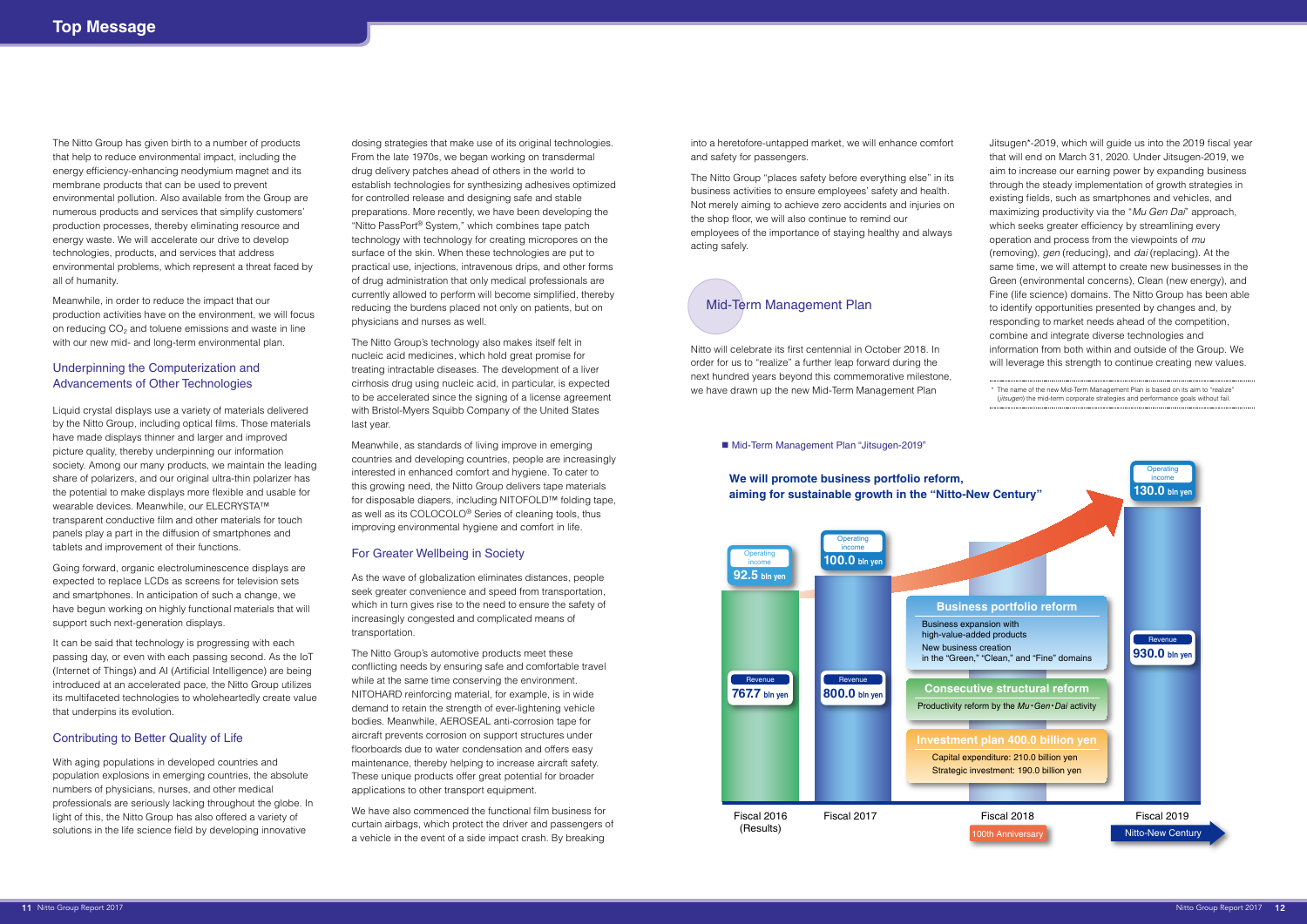Jitsugen\*-2019, which will guide us into the 2019 fiscal year that will end on March 31, 2020. Under Jitsugen-2019, we aim to increase our earning power by expanding business through the steady implementation of growth strategies in existing fields, such as smartphones and vehicles, and maximizing productivity via the "*Mu Gen Dai*" approach, which seeks greater efficiency by streamlining every operation and process from the viewpoints of *mu* (removing), *gen* (reducing), and *dai* (replacing). At the same time, we will attempt to create new businesses in the Green (environmental concerns), Clean (new energy), and Fine (life science) domains. The Nitto Group has been able to identify opportunities presented by changes and, by responding to market needs ahead of the competition, combine and integrate diverse technologies and information from both within and outside of the Group. We will leverage this strength to continue creating new values.

\* The name of the new Mid-Term Management Plan is based on its aim to "realize" (*jitsugen*) the mid-term corporate strategies and performance goals without fail.

into a heretofore-untapped market, we will enhance comfort and safety for passengers.

The Nitto Group "places safety before everything else" in its business activities to ensure employees' safety and health. Not merely aiming to achieve zero accidents and injuries on the shop floor, we will also continue to remind our employees of the importance of staying healthy and always acting safely.

Nitto will celebrate its first centennial in October 2018. In order for us to "realize" a further leap forward during the next hundred years beyond this commemorative milestone, we have drawn up the new Mid-Term Management Plan

### ■ Mid-Term Management Plan "Jitsugen-2019"

It can be said that technology is progressing with each passing day, or even with each passing second. As the IoT (Internet of Things) and AI (Artificial Intelligence) are being introduced at an accelerated pace, the Nitto Group utilizes its multifaceted technologies to wholeheartedly create value that underpins its evolution.

The Nitto Group has given birth to a number of products that help to reduce environmental impact, including the energy efficiency-enhancing neodymium magnet and its membrane products that can be used to prevent environmental pollution. Also available from the Group are numerous products and services that simplify customers' production processes, thereby eliminating resource and energy waste. We will accelerate our drive to develop technologies, products, and services that address environmental problems, which represent a threat faced by all of humanity.

Meanwhile, in order to reduce the impact that our production activities have on the environment, we will focus on reducing CO<sub>2</sub> and toluene emissions and waste in line with our new mid- and long-term environmental plan.

### Underpinning the Computerization and Advancements of Other Technologies

Liquid crystal displays use a variety of materials delivered by the Nitto Group, including optical films. Those materials have made displays thinner and larger and improved picture quality, thereby underpinning our information society. Among our many products, we maintain the leading share of polarizers, and our original ultra-thin polarizer has the potential to make displays more flexible and usable for wearable devices. Meanwhile, our ELECRYSTA™ transparent conductive film and other materials for touch panels play a part in the diffusion of smartphones and tablets and improvement of their functions.

Going forward, organic electroluminescence displays are expected to replace LCDs as screens for television sets and smartphones. In anticipation of such a change, we have begun working on highly functional materials that will support such next-generation displays.

### Contributing to Better Quality of Life

With aging populations in developed countries and population explosions in emerging countries, the absolute numbers of physicians, nurses, and other medical professionals are seriously lacking throughout the globe. In light of this, the Nitto Group has also offered a variety of solutions in the life science field by developing innovative

dosing strategies that make use of its original technologies. From the late 1970s, we began working on transdermal drug delivery patches ahead of others in the world to establish technologies for synthesizing adhesives optimized for controlled release and designing safe and stable preparations. More recently, we have been developing the "Nitto PassPort® System," which combines tape patch technology with technology for creating micropores on the surface of the skin. When these technologies are put to practical use, injections, intravenous drips, and other forms of drug administration that only medical professionals are currently allowed to perform will become simplified, thereby reducing the burdens placed not only on patients, but on physicians and nurses as well.

The Nitto Group's technology also makes itself felt in nucleic acid medicines, which hold great promise for treating intractable diseases. The development of a liver cirrhosis drug using nucleic acid, in particular, is expected to be accelerated since the signing of a license agreement with Bristol-Myers Squibb Company of the United States last year.

Meanwhile, as standards of living improve in emerging countries and developing countries, people are increasingly interested in enhanced comfort and hygiene. To cater to this growing need, the Nitto Group delivers tape materials for disposable diapers, including NITOFOLD™ folding tape, as well as its COLOCOLO® Series of cleaning tools, thus improving environmental hygiene and comfort in life.

### For Greater Wellbeing in Society

As the wave of globalization eliminates distances, people seek greater convenience and speed from transportation. which in turn gives rise to the need to ensure the safety of increasingly congested and complicated means of transportation.

The Nitto Group's automotive products meet these conflicting needs by ensuring safe and comfortable travel while at the same time conserving the environment. NITOHARD reinforcing material, for example, is in wide demand to retain the strength of ever-lightening vehicle bodies. Meanwhile, AEROSEAL anti-corrosion tape for aircraft prevents corrosion on support structures under floorboards due to water condensation and offers easy maintenance, thereby helping to increase aircraft safety. These unique products offer great potential for broader applications to other transport equipment.

We have also commenced the functional film business for curtain airbags, which protect the driver and passengers of a vehicle in the event of a side impact crash. By breaking



### Mid-Term Management Plan